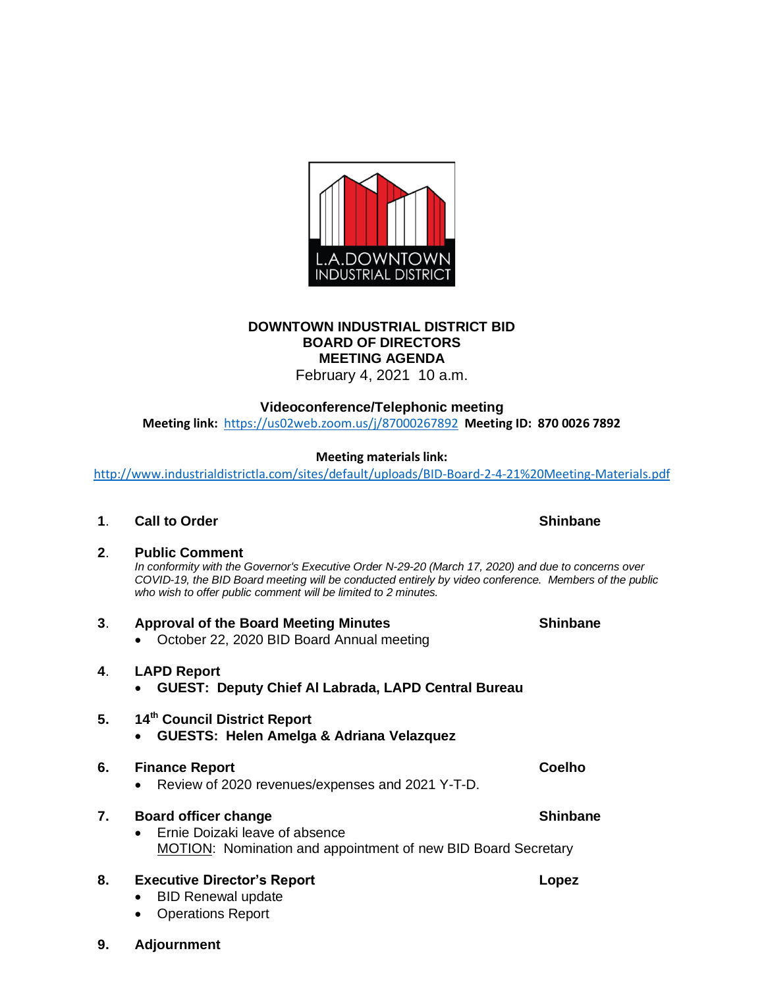

# **DOWNTOWN INDUSTRIAL DISTRICT BID BOARD OF DIRECTORS MEETING AGENDA**

February 4, 2021 10 a.m.

#### **Videoconference/Telephonic meeting**

**Meeting link:** <https://us02web.zoom.us/j/87000267892>**Meeting ID: 870 0026 7892**

#### **Meeting materials link:**

<http://www.industrialdistrictla.com/sites/default/uploads/BID-Board-2-4-21%20Meeting-Materials.pdf>

**1. Call to Order** Shinbane

# **2**. **Public Comment** *In conformity with the Governor's Executive Order N-29-20 (March 17, 2020) and due to concerns over COVID-19, the BID Board meeting will be conducted entirely by video conference. Members of the public who wish to offer public comment will be limited to 2 minutes.* **3**. **Approval of the Board Meeting Minutes Shinbane** • October 22, 2020 BID Board Annual meeting **4**. **LAPD Report**

• **GUEST: Deputy Chief Al Labrada, LAPD Central Bureau**

# **5. 14th Council District Report**

• **GUESTS: Helen Amelga & Adriana Velazquez**

#### **6. Finance Report Coelho** • Review of 2020 revenues/expenses and 2021 Y-T-D.

## **7. Board officer change Shinbane Shinbane** • Ernie Doizaki leave of absence MOTION: Nomination and appointment of new BID Board Secretary

## **8. Executive Director's Report Lopez**

- BID Renewal update
- Operations Report
- **9. Adjournment**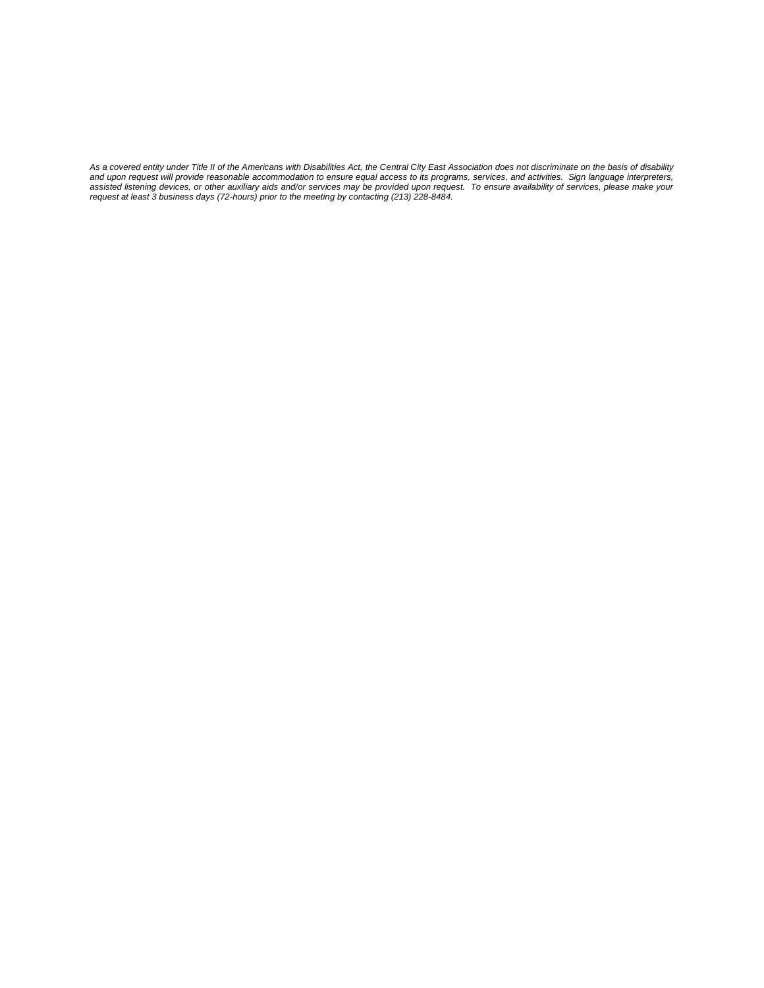As a covered entity under Title II of the Americans with Disabilities Act, the Central City East Association does not discriminate on the basis of disability<br>and upon request will provide reasonable accommodation to ensure assisted listening devices, or other auxiliary aids and/or services may be provided upon request. To ensure availability of services, please make your<br>request at least 3 business days (72-hours) prior to the meeting by con